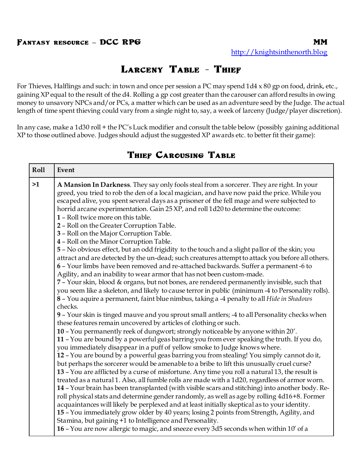## **FANTASY RESOURCE – DCC RPG** MM

## **Larceny Table - Thief**

For Thieves, Halflings and such: in town and once per session a PC may spend 1d4 x 80 gp on food, drink, etc., gaining XP equal to the result of the d4. Rolling a gp cost greater than the carouser can afford results in owing money to unsavory NPCs and/or PCs, a matter which can be used as an adventure seed by the Judge. The actual length of time spent thieving could vary from a single night to, say, a week of larceny (Judge/player discretion).

In any case, make a 1d30 roll + the PC's Luck modifier and consult the table below (possibly gaining additional XP to those outlined above. Judges should adjust the suggested XP awards etc. to better fit their game):

| Roll | Event                                                                                                                                                                                                                                                                                                                                                                                                                                                                                                                                                                                                                                                                                                                                                                                                                                                                                                                                                                                                                                                                                                                                                                                                                                                                                                                                                                                                                                                                                                                                                                                                                                                                                                                                                                                                                                                                                                                                                                                                                                                                                                                                                                                                                                                                                                                                                                                                                                                                                                                                |
|------|--------------------------------------------------------------------------------------------------------------------------------------------------------------------------------------------------------------------------------------------------------------------------------------------------------------------------------------------------------------------------------------------------------------------------------------------------------------------------------------------------------------------------------------------------------------------------------------------------------------------------------------------------------------------------------------------------------------------------------------------------------------------------------------------------------------------------------------------------------------------------------------------------------------------------------------------------------------------------------------------------------------------------------------------------------------------------------------------------------------------------------------------------------------------------------------------------------------------------------------------------------------------------------------------------------------------------------------------------------------------------------------------------------------------------------------------------------------------------------------------------------------------------------------------------------------------------------------------------------------------------------------------------------------------------------------------------------------------------------------------------------------------------------------------------------------------------------------------------------------------------------------------------------------------------------------------------------------------------------------------------------------------------------------------------------------------------------------------------------------------------------------------------------------------------------------------------------------------------------------------------------------------------------------------------------------------------------------------------------------------------------------------------------------------------------------------------------------------------------------------------------------------------------------|
| >1   | A Mansion In Darkness. They say only fools steal from a sorcerer. They are right. In your<br>greed, you tried to rob the den of a local magician, and have now paid the price. While you<br>escaped alive, you spent several days as a prisoner of the fell mage and were subjected to<br>horrid arcane experimentation. Gain 25 XP, and roll 1d20 to determine the outcome:<br>1 - Roll twice more on this table.<br>2 - Roll on the Greater Corruption Table.<br>3 - Roll on the Major Corruption Table.<br>4 - Roll on the Minor Corruption Table.<br>5 - No obvious effect, but an odd frigidity to the touch and a slight pallor of the skin; you<br>attract and are detected by the un-dead; such creatures attempt to attack you before all others.<br>6 - Your limbs have been removed and re-attached backwards. Suffer a permanent -6 to<br>Agility, and an inability to wear armor that has not been custom-made.<br>7 - Your skin, blood & organs, but not bones, are rendered permanently invisible, such that<br>you seem like a skeleton, and likely to cause terror in public (minimum -4 to Personality rolls).<br>8 - You aquire a permanent, faint blue nimbus, taking a -4 penalty to all Hide in Shadows<br>checks.<br>9 - Your skin is tinged mauve and you sprout small antlers; -4 to all Personality checks when<br>these features remain uncovered by articles of clothing or such.<br>10 - You permanently reek of dungwort; strongly noticeable by anyone within 20'.<br>11 - You are bound by a powerful geas barring you from ever speaking the truth. If you do,<br>you immediately disappear in a puff of yellow smoke to Judge knows where.<br>12 - You are bound by a powerful geas barring you from stealing! You simply cannot do it,<br>but perhaps the sorcerer would be amenable to a bribe to lift this unusually cruel curse?<br>13 - You are afflicted by a curse of misfortune. Any time you roll a natural 13, the result is<br>treated as a natural 1. Also, all fumble rolls are made with a 1d20, regardless of armor worn.<br>14 - Your brain has been transplanted (with visible scars and stitching) into another body. Re-<br>roll physical stats and determine gender randomly, as well as age by rolling 4d16+8. Former<br>acquaintances will likely be perplexed and at least initially skeptical as to your identity.<br>15 - You immediately grow older by 40 years; losing 2 points from Strength, Agility, and<br>Stamina, but gaining +1 to Intelligence and Personality. |
|      | 16 - You are now allergic to magic, and sneeze every 3d5 seconds when within 10' of a                                                                                                                                                                                                                                                                                                                                                                                                                                                                                                                                                                                                                                                                                                                                                                                                                                                                                                                                                                                                                                                                                                                                                                                                                                                                                                                                                                                                                                                                                                                                                                                                                                                                                                                                                                                                                                                                                                                                                                                                                                                                                                                                                                                                                                                                                                                                                                                                                                                |

## **Thief Carousing Table**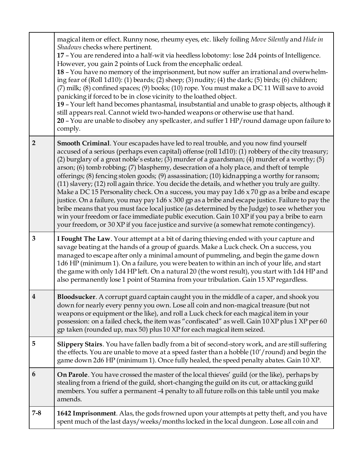|                  | magical item or effect. Runny nose, rheumy eyes, etc. likely foiling Move Silently and Hide in<br>Shadows checks where pertinent.<br>17 - You are rendered into a half-wit via heedless lobotomy: lose 2d4 points of Intelligence.<br>However, you gain 2 points of Luck from the encephalic ordeal.<br>18 - You have no memory of the imprisonment, but now suffer an irrational and overwhelm-<br>ing fear of (Roll 1d10): (1) beards; (2) sheep; (3) nudity; (4) the dark; (5) birds; (6) children;<br>(7) milk; (8) confined spaces; (9) books; (10) rope. You must make a DC 11 Will save to avoid<br>panicking if forced to be in close vicinity to the loathed object.<br>19 - Your left hand becomes phantasmal, insubstantial and unable to grasp objects, although it<br>still appears real. Cannot wield two-handed weapons or otherwise use that hand.<br>20 - You are unable to disobey any spellcaster, and suffer 1 HP/round damage upon failure to<br>comply.                                                                                                                  |
|------------------|------------------------------------------------------------------------------------------------------------------------------------------------------------------------------------------------------------------------------------------------------------------------------------------------------------------------------------------------------------------------------------------------------------------------------------------------------------------------------------------------------------------------------------------------------------------------------------------------------------------------------------------------------------------------------------------------------------------------------------------------------------------------------------------------------------------------------------------------------------------------------------------------------------------------------------------------------------------------------------------------------------------------------------------------------------------------------------------------|
| $\overline{2}$   | <b>Smooth Criminal.</b> Your escapades have led to real trouble, and you now find yourself<br>accused of a serious (perhaps even capital) offense (roll 1d10): (1) robbery of the city treasury;<br>(2) burglary of a great noble's estate; (3) murder of a guardsman; (4) murder of a worthy; (5)<br>arson; (6) tomb robbing; (7) blasphemy, desecration of a holy place, and theft of temple<br>offerings; (8) fencing stolen goods; (9) assassination; (10) kidnapping a worthy for ransom;<br>(11) slavery; (12) roll again thrice. You decide the details, and whether you truly are guilty.<br>Make a DC 15 Personality check. On a success, you may pay 1d6 x 70 gp as a bribe and escape<br>justice. On a failure, you may pay 1d6 x 300 gp as a bribe and escape justice. Failure to pay the<br>bribe means that you must face local justice (as determined by the Judge) to see whether you<br>win your freedom or face immediate public execution. Gain 10 XP if you pay a bribe to earn<br>your freedom, or 30 XP if you face justice and survive (a somewhat remote contingency). |
| 3                | I Fought The Law. Your attempt at a bit of daring thieving ended with your capture and<br>savage beating at the hands of a group of guards. Make a Luck check. On a success, you<br>managed to escape after only a minimal amount of pummeling, and begin the game down<br>1d6 HP (minimum 1). On a failure, you were beaten to within an inch of your life, and start<br>the game with only 1d4 HP left. On a natural 20 (the worst result), you start with 1d4 HP and<br>also permanently lose 1 point of Stamina from your tribulation. Gain 15 XP regardless.                                                                                                                                                                                                                                                                                                                                                                                                                                                                                                                              |
| $\boldsymbol{4}$ | Bloodsucker. A corrupt guard captain caught you in the middle of a caper, and shook you<br>down for nearly every penny you own. Lose all coin and non-magical treasure (but not<br>weapons or equipment or the like), and roll a Luck check for each magical item in your<br>possession: on a failed check, the item was "confiscated" as well. Gain 10 XP plus 1 XP per 60<br>gp taken (rounded up, max 50) plus 10 XP for each magical item seized.                                                                                                                                                                                                                                                                                                                                                                                                                                                                                                                                                                                                                                          |
| 5                | Slippery Stairs. You have fallen badly from a bit of second-story work, and are still suffering<br>the effects. You are unable to move at a speed faster than a hobble (10'/round) and begin the<br>game down 2d6 HP (minimum 1). Once fully healed, the speed penalty abates. Gain 10 XP.                                                                                                                                                                                                                                                                                                                                                                                                                                                                                                                                                                                                                                                                                                                                                                                                     |
| 6                | <b>On Parole</b> . You have crossed the master of the local thieves' guild (or the like), perhaps by<br>stealing from a friend of the guild, short-changing the guild on its cut, or attacking guild<br>members. You suffer a permanent -4 penalty to all future rolls on this table until you make<br>amends.                                                                                                                                                                                                                                                                                                                                                                                                                                                                                                                                                                                                                                                                                                                                                                                 |
| $7 - 8$          | <b>1642 Imprisonment</b> . Alas, the gods frowned upon your attempts at petty theft, and you have<br>spent much of the last days/weeks/months locked in the local dungeon. Lose all coin and                                                                                                                                                                                                                                                                                                                                                                                                                                                                                                                                                                                                                                                                                                                                                                                                                                                                                                   |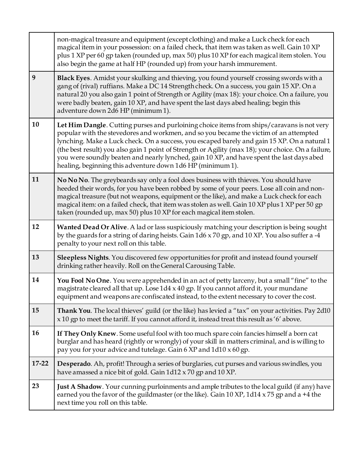|       | non-magical treasure and equipment (except clothing) and make a Luck check for each<br>magical item in your possession: on a failed check, that item was taken as well. Gain 10 XP<br>plus 1 XP per 60 gp taken (rounded up, max 50) plus 10 XP for each magical item stolen. You<br>also begin the game at half HP (rounded up) from your harsh immurement.                                                                                                                                                                                          |
|-------|-------------------------------------------------------------------------------------------------------------------------------------------------------------------------------------------------------------------------------------------------------------------------------------------------------------------------------------------------------------------------------------------------------------------------------------------------------------------------------------------------------------------------------------------------------|
| 9     | Black Eyes. Amidst your skulking and thieving, you found yourself crossing swords with a<br>gang of (rival) ruffians. Make a DC 14 Strength check. On a success, you gain 15 XP. On a<br>natural 20 you also gain 1 point of Strength or Agility (max 18): your choice. On a failure, you<br>were badly beaten, gain 10 XP, and have spent the last days abed healing; begin this<br>adventure down 2d6 HP (minimum 1).                                                                                                                               |
| 10    | Let Him Dangle. Cutting purses and purloining choice items from ships/caravans is not very<br>popular with the stevedores and workmen, and so you became the victim of an attempted<br>lynching. Make a Luck check. On a success, you escaped barely and gain 15 XP. On a natural 1<br>(the best result) you also gain 1 point of Strength or Agility (max 18); your choice. On a failure,<br>you were soundly beaten and nearly lynched, gain 10 XP, and have spent the last days abed<br>healing, beginning this adventure down 1d6 HP (minimum 1). |
| 11    | No No No. The greybeards say only a fool does business with thieves. You should have<br>heeded their words, for you have been robbed by some of your peers. Lose all coin and non-<br>magical treasure (but not weapons, equipment or the like), and make a Luck check for each<br>magical item: on a failed check, that item was stolen as well. Gain 10 XP plus 1 XP per 50 gp<br>taken (rounded up, max 50) plus 10 XP for each magical item stolen.                                                                                               |
|       |                                                                                                                                                                                                                                                                                                                                                                                                                                                                                                                                                       |
| 12    | Wanted Dead Or Alive. A lad or lass suspiciously matching your description is being sought<br>by the guards for a string of daring heists. Gain 1d6 x 70 gp, and 10 XP. You also suffer a -4<br>penalty to your next roll on this table.                                                                                                                                                                                                                                                                                                              |
| 13    | Sleepless Nights. You discovered few opportunities for profit and instead found yourself<br>drinking rather heavily. Roll on the General Carousing Table.                                                                                                                                                                                                                                                                                                                                                                                             |
| 14    | You Fool No One. You were apprehended in an act of petty larceny, but a small "fine" to the<br>magistrate cleared all that up. Lose 1d4 x 40 gp. If you cannot afford it, your mundane<br>equipment and weapons are confiscated instead, to the extent necessary to cover the cost.                                                                                                                                                                                                                                                                   |
| 15    | <b>Thank You</b> . The local thieves' guild (or the like) has levied a "tax" on your activities. Pay 2d10<br>x 10 gp to meet the tariff. If you cannot afford it, instead treat this result as '6' above.                                                                                                                                                                                                                                                                                                                                             |
| 16    | If They Only Knew. Some useful fool with too much spare coin fancies himself a born cat<br>burglar and has heard (rightly or wrongly) of your skill in matters criminal, and is willing to<br>pay you for your advice and tutelage. Gain 6 XP and 1d10 x 60 gp.                                                                                                                                                                                                                                                                                       |
| 17-22 | <b>Desperado</b> . Ah, profit! Through a series of burglaries, cut purses and various swindles, you<br>have amassed a nice bit of gold. Gain 1d12 x 70 gp and 10 XP.                                                                                                                                                                                                                                                                                                                                                                                  |